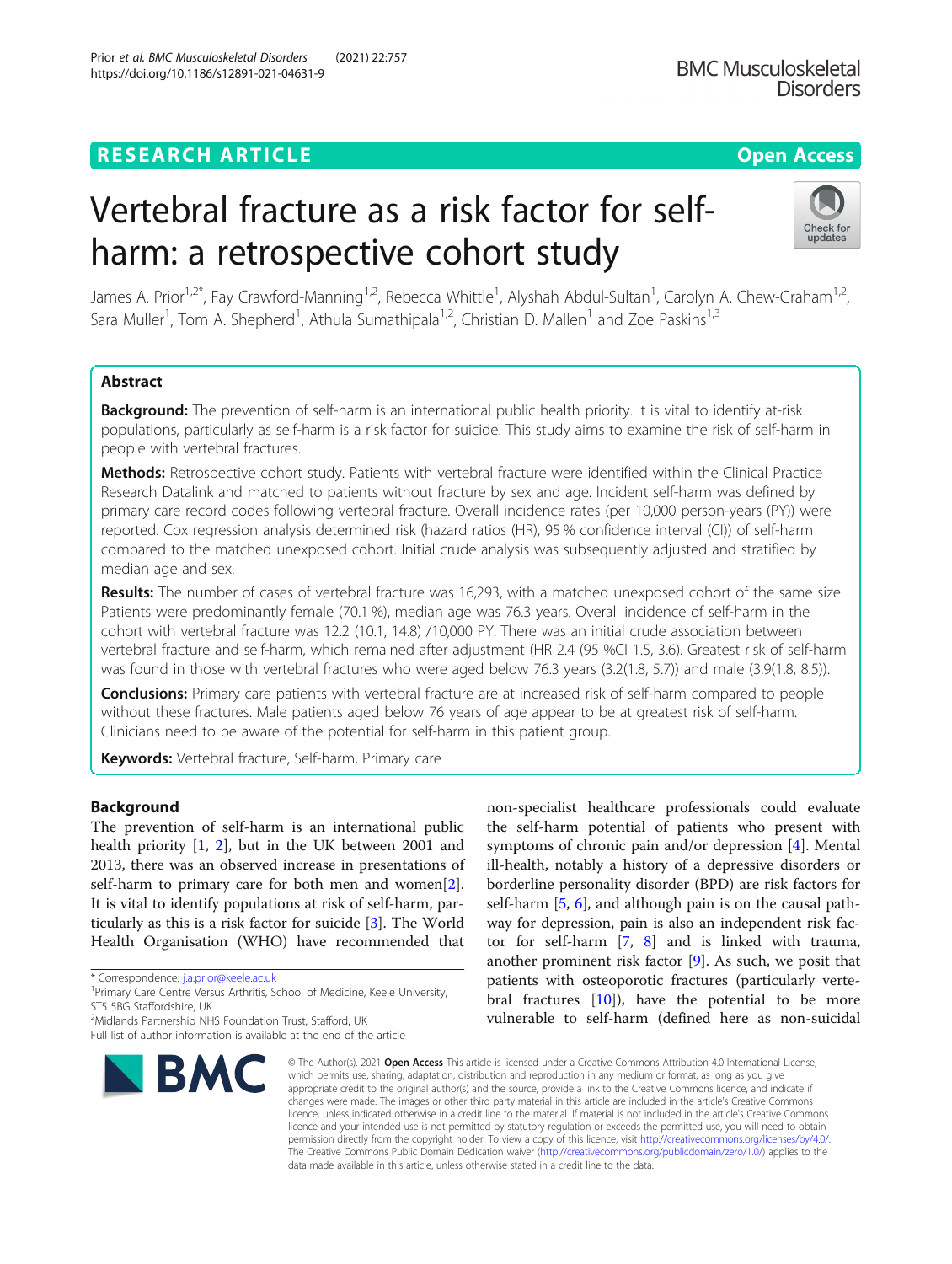# **RESEARCH ARTICLE Example 2014 12:30 The Contract of Contract ACCESS**

# Vertebral fracture as a risk factor for selfharm: a retrospective cohort study

James A. Prior<sup>1,2\*</sup>, Fay Crawford-Manning<sup>1,2</sup>, Rebecca Whittle<sup>1</sup>, Alyshah Abdul-Sultan<sup>1</sup>, Carolyn A. Chew-Graham<sup>1,2</sup>, Sara Muller<sup>1</sup>, Tom A. Shepherd<sup>1</sup>, Athula Sumathipala<sup>1,2</sup>, Christian D. Mallen<sup>1</sup> and Zoe Paskins<sup>1,3</sup>

## Abstract

Background: The prevention of self-harm is an international public health priority. It is vital to identify at-risk populations, particularly as self-harm is a risk factor for suicide. This study aims to examine the risk of self-harm in people with vertebral fractures.

Methods: Retrospective cohort study. Patients with vertebral fracture were identified within the Clinical Practice Research Datalink and matched to patients without fracture by sex and age. Incident self-harm was defined by primary care record codes following vertebral fracture. Overall incidence rates (per 10,000 person-years (PY)) were reported. Cox regression analysis determined risk (hazard ratios (HR), 95 % confidence interval (CI)) of self-harm compared to the matched unexposed cohort. Initial crude analysis was subsequently adjusted and stratified by median age and sex.

Results: The number of cases of vertebral fracture was 16,293, with a matched unexposed cohort of the same size. Patients were predominantly female (70.1 %), median age was 76.3 years. Overall incidence of self-harm in the cohort with vertebral fracture was 12.2 (10.1, 14.8) /10,000 PY. There was an initial crude association between vertebral fracture and self-harm, which remained after adjustment (HR 2.4 (95 %CI 1.5, 3.6). Greatest risk of self-harm was found in those with vertebral fractures who were aged below 76.3 years (3.2(1.8, 5.7)) and male (3.9(1.8, 8.5)).

**Conclusions:** Primary care patients with vertebral fracture are at increased risk of self-harm compared to people without these fractures. Male patients aged below 76 years of age appear to be at greatest risk of self-harm. Clinicians need to be aware of the potential for self-harm in this patient group.

Keywords: Vertebral fracture, Self-harm, Primary care

#### Background

The prevention of self-harm is an international public health priority [[1,](#page-5-0) [2\]](#page-5-0), but in the UK between 2001 and 2013, there was an observed increase in presentations of self-harm to primary care for both men and women[\[2](#page-5-0)]. It is vital to identify populations at risk of self-harm, particularly as this is a risk factor for suicide [[3\]](#page-5-0). The World Health Organisation (WHO) have recommended that

© The Author(s), 2021 **Open Access** This article is licensed under a Creative Commons Attribution 4.0 International License, which permits use, sharing, adaptation, distribution and reproduction in any medium or format, as long as you give appropriate credit to the original author(s) and the source, provide a link to the Creative Commons licence, and indicate if changes were made. The images or other third party material in this article are included in the article's Creative Commons licence, unless indicated otherwise in a credit line to the material. If material is not included in the article's Creative Commons licence and your intended use is not permitted by statutory regulation or exceeds the permitted use, you will need to obtain permission directly from the copyright holder. To view a copy of this licence, visit [http://creativecommons.org/licenses/by/4.0/.](http://creativecommons.org/licenses/by/4.0/) The Creative Commons Public Domain Dedication waiver [\(http://creativecommons.org/publicdomain/zero/1.0/](http://creativecommons.org/publicdomain/zero/1.0/)) applies to the data made available in this article, unless otherwise stated in a credit line to the data.

the self-harm potential of patients who present with symptoms of chronic pain and/or depression [\[4](#page-5-0)]. Mental ill-health, notably a history of a depressive disorders or borderline personality disorder (BPD) are risk factors for self-harm  $[5, 6]$  $[5, 6]$  $[5, 6]$  $[5, 6]$ , and although pain is on the causal pathway for depression, pain is also an independent risk factor for self-harm [\[7](#page-5-0), [8\]](#page-5-0) and is linked with trauma, another prominent risk factor [[9\]](#page-5-0). As such, we posit that patients with osteoporotic fractures (particularly vertebral fractures [[10\]](#page-5-0)), have the potential to be more vulnerable to self-harm (defined here as non-suicidal

non-specialist healthcare professionals could evaluate



<sup>\*</sup> Correspondence: [j.a.prior@keele.ac.uk](mailto:j.a.prior@keele.ac.uk) <sup>1</sup>

<sup>&</sup>lt;sup>1</sup> Primary Care Centre Versus Arthritis, School of Medicine, Keele University, ST5 5BG Staffordshire, UK

<sup>&</sup>lt;sup>2</sup>Midlands Partnership NHS Foundation Trust, Stafford, UK

Full list of author information is available at the end of the article

BMC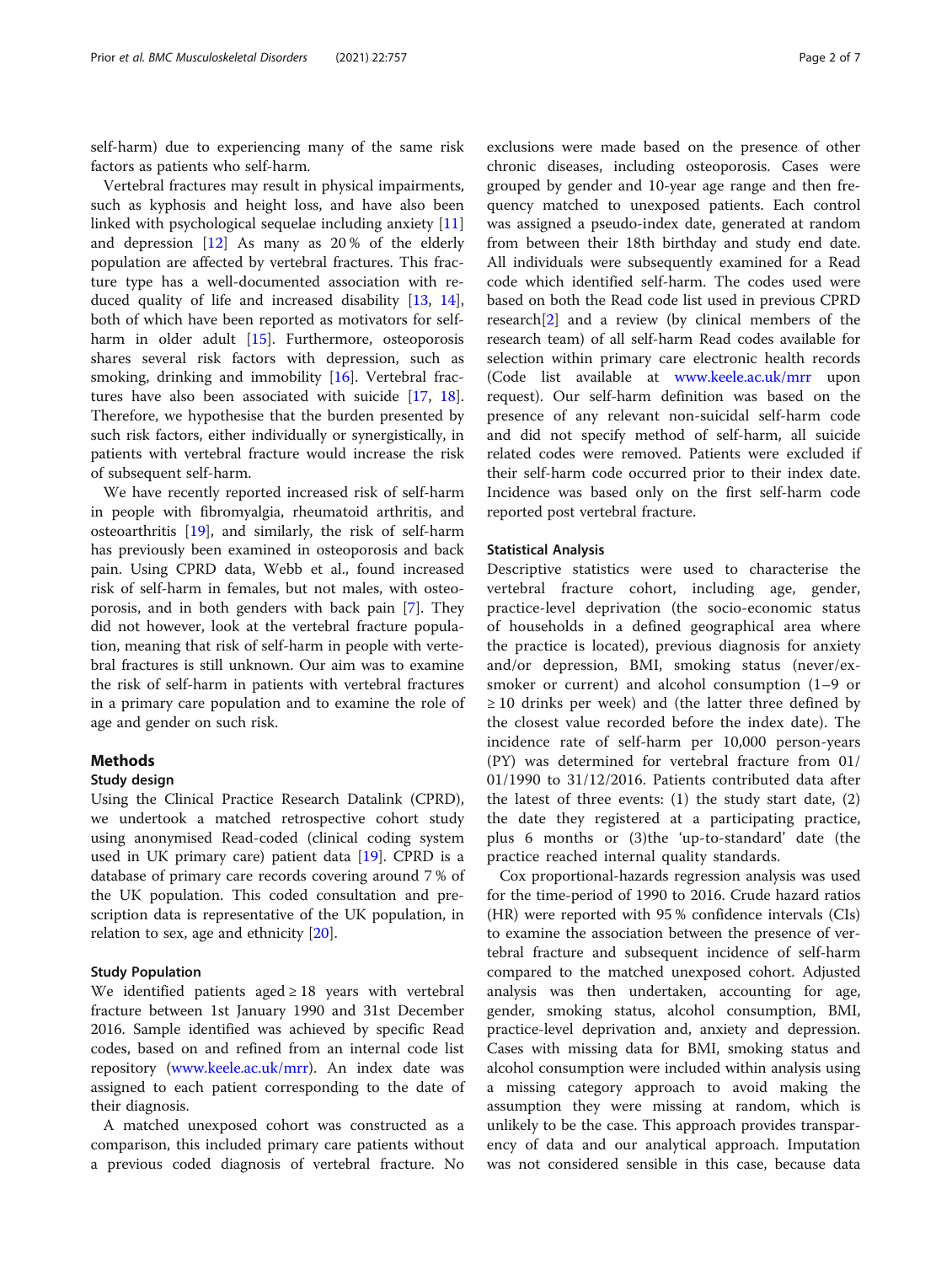self-harm) due to experiencing many of the same risk factors as patients who self-harm.

Vertebral fractures may result in physical impairments, such as kyphosis and height loss, and have also been linked with psychological sequelae including anxiety [[11](#page-5-0)] and depression  $[12]$  $[12]$  As many as 20% of the elderly population are affected by vertebral fractures. This fracture type has a well-documented association with reduced quality of life and increased disability [\[13](#page-5-0), [14](#page-5-0)], both of which have been reported as motivators for self-harm in older adult [\[15](#page-5-0)]. Furthermore, osteoporosis shares several risk factors with depression, such as smoking, drinking and immobility [\[16\]](#page-5-0). Vertebral fractures have also been associated with suicide [\[17,](#page-5-0) [18](#page-5-0)]. Therefore, we hypothesise that the burden presented by such risk factors, either individually or synergistically, in patients with vertebral fracture would increase the risk of subsequent self-harm.

We have recently reported increased risk of self-harm in people with fibromyalgia, rheumatoid arthritis, and osteoarthritis [[19\]](#page-5-0), and similarly, the risk of self-harm has previously been examined in osteoporosis and back pain. Using CPRD data, Webb et al., found increased risk of self-harm in females, but not males, with osteoporosis, and in both genders with back pain [\[7](#page-5-0)]. They did not however, look at the vertebral fracture population, meaning that risk of self-harm in people with vertebral fractures is still unknown. Our aim was to examine the risk of self-harm in patients with vertebral fractures in a primary care population and to examine the role of age and gender on such risk.

#### Methods

#### Study design

Using the Clinical Practice Research Datalink (CPRD), we undertook a matched retrospective cohort study using anonymised Read-coded (clinical coding system used in UK primary care) patient data [[19\]](#page-5-0). CPRD is a database of primary care records covering around 7 % of the UK population. This coded consultation and prescription data is representative of the UK population, in relation to sex, age and ethnicity [\[20\]](#page-5-0).

#### Study Population

We identified patients aged  $\geq 18$  years with vertebral fracture between 1st January 1990 and 31st December 2016. Sample identified was achieved by specific Read codes, based on and refined from an internal code list repository [\(www.keele.ac.uk/mrr](https://www.keele.ac.uk/mrr)). An index date was assigned to each patient corresponding to the date of their diagnosis.

A matched unexposed cohort was constructed as a comparison, this included primary care patients without a previous coded diagnosis of vertebral fracture. No

exclusions were made based on the presence of other chronic diseases, including osteoporosis. Cases were grouped by gender and 10-year age range and then frequency matched to unexposed patients. Each control was assigned a pseudo-index date, generated at random from between their 18th birthday and study end date. All individuals were subsequently examined for a Read code which identified self-harm. The codes used were based on both the Read code list used in previous CPRD research[[2\]](#page-5-0) and a review (by clinical members of the research team) of all self-harm Read codes available for selection within primary care electronic health records (Code list available at [www.keele.ac.uk/mrr](http://www.keele.ac.uk/mrr) upon request). Our self-harm definition was based on the presence of any relevant non-suicidal self-harm code and did not specify method of self-harm, all suicide related codes were removed. Patients were excluded if their self-harm code occurred prior to their index date. Incidence was based only on the first self-harm code reported post vertebral fracture.

#### Statistical Analysis

Descriptive statistics were used to characterise the vertebral fracture cohort, including age, gender, practice-level deprivation (the socio-economic status of households in a defined geographical area where the practice is located), previous diagnosis for anxiety and/or depression, BMI, smoking status (never/exsmoker or current) and alcohol consumption (1–9 or  $\geq$  10 drinks per week) and (the latter three defined by the closest value recorded before the index date). The incidence rate of self-harm per 10,000 person-years (PY) was determined for vertebral fracture from 01/ 01/1990 to 31/12/2016. Patients contributed data after the latest of three events: (1) the study start date, (2) the date they registered at a participating practice, plus 6 months or (3)the 'up-to-standard' date (the practice reached internal quality standards.

Cox proportional-hazards regression analysis was used for the time-period of 1990 to 2016. Crude hazard ratios (HR) were reported with 95 % confidence intervals (CIs) to examine the association between the presence of vertebral fracture and subsequent incidence of self-harm compared to the matched unexposed cohort. Adjusted analysis was then undertaken, accounting for age, gender, smoking status, alcohol consumption, BMI, practice-level deprivation and, anxiety and depression. Cases with missing data for BMI, smoking status and alcohol consumption were included within analysis using a missing category approach to avoid making the assumption they were missing at random, which is unlikely to be the case. This approach provides transparency of data and our analytical approach. Imputation was not considered sensible in this case, because data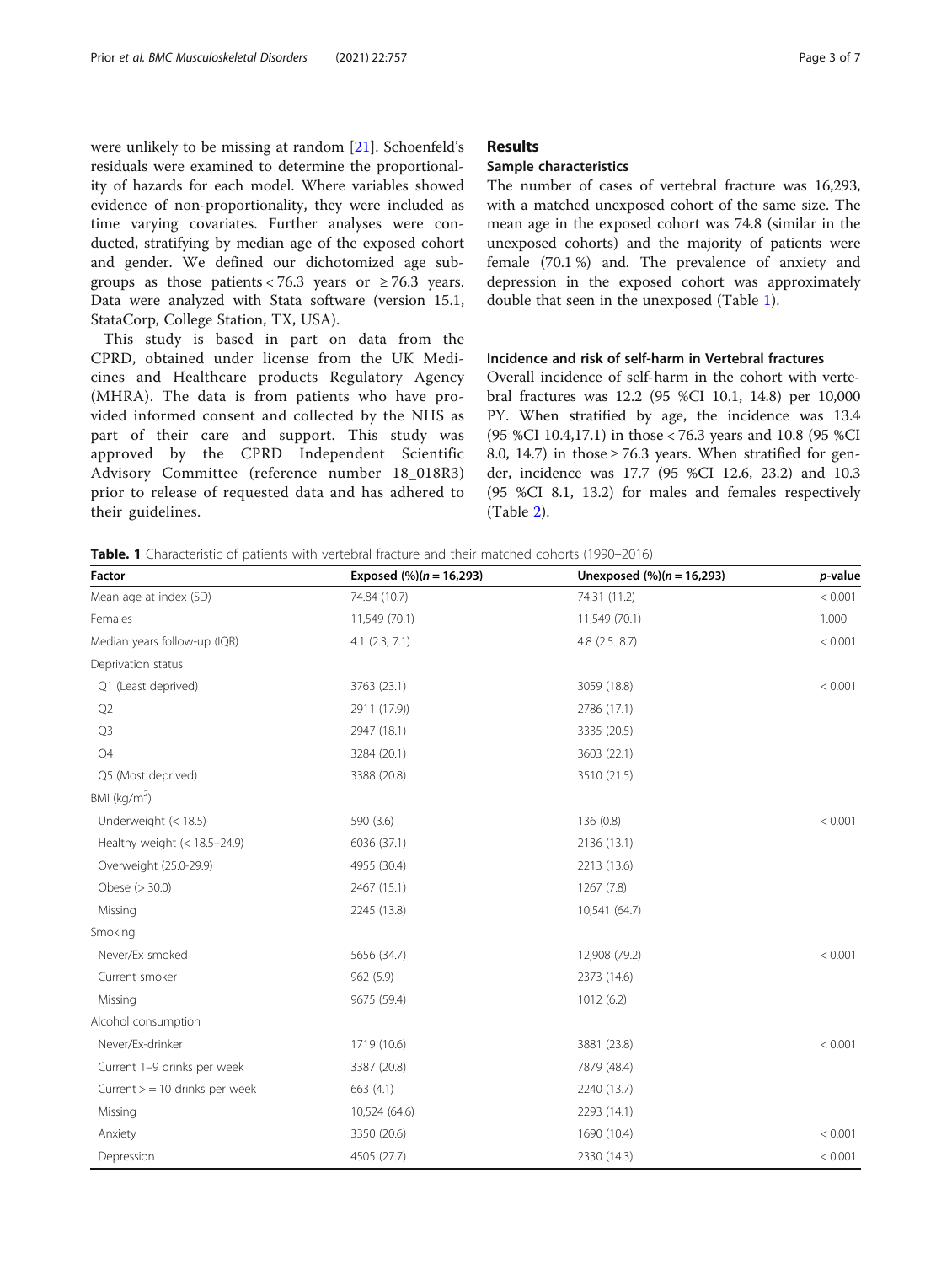were unlikely to be missing at random [[21\]](#page-5-0). Schoenfeld's residuals were examined to determine the proportionality of hazards for each model. Where variables showed evidence of non-proportionality, they were included as time varying covariates. Further analyses were conducted, stratifying by median age of the exposed cohort and gender. We defined our dichotomized age subgroups as those patients < 76.3 years or  $\geq$  76.3 years. Data were analyzed with Stata software (version 15.1, StataCorp, College Station, TX, USA).

This study is based in part on data from the CPRD, obtained under license from the UK Medicines and Healthcare products Regulatory Agency (MHRA). The data is from patients who have provided informed consent and collected by the NHS as part of their care and support. This study was approved by the CPRD Independent Scientific Advisory Committee (reference number 18\_018R3) prior to release of requested data and has adhered to their guidelines.

# Results

## Sample characteristics

The number of cases of vertebral fracture was 16,293, with a matched unexposed cohort of the same size. The mean age in the exposed cohort was 74.8 (similar in the unexposed cohorts) and the majority of patients were female (70.1 %) and. The prevalence of anxiety and depression in the exposed cohort was approximately double that seen in the unexposed (Table 1).

#### Incidence and risk of self-harm in Vertebral fractures

Overall incidence of self-harm in the cohort with vertebral fractures was 12.2 (95 %CI 10.1, 14.8) per 10,000 PY. When stratified by age, the incidence was 13.4 (95 %CI 10.4,17.1) in those < 76.3 years and 10.8 (95 %CI 8.0, 14.7) in those  $\geq$  76.3 years. When stratified for gender, incidence was 17.7 (95 %CI 12.6, 23.2) and 10.3 (95 %CI 8.1, 13.2) for males and females respectively (Table [2\)](#page-3-0).

| <b>Table. 1</b> Characteristic of patients with vertebral fracture and their matched cohorts (1990–2016) |  |
|----------------------------------------------------------------------------------------------------------|--|
|----------------------------------------------------------------------------------------------------------|--|

| Factor                           | Exposed $(\%)(n = 16,293)$ | Unexposed $% (n = 16,293)$ | p-value |  |
|----------------------------------|----------------------------|----------------------------|---------|--|
| Mean age at index (SD)           | 74.84 (10.7)               | 74.31 (11.2)               | < 0.001 |  |
| Females                          | 11,549 (70.1)              | 11,549 (70.1)              | 1.000   |  |
| Median years follow-up (IQR)     | $4.1$ $(2.3, 7.1)$         | $4.8$ (2.5. 8.7)           | < 0.001 |  |
| Deprivation status               |                            |                            |         |  |
| Q1 (Least deprived)              | 3763 (23.1)                | 3059 (18.8)                | < 0.001 |  |
| Q2                               | 2911 (17.9))               | 2786 (17.1)                |         |  |
| Q <sub>3</sub>                   | 2947 (18.1)                | 3335 (20.5)                |         |  |
| Q4                               | 3284 (20.1)                | 3603 (22.1)                |         |  |
| Q5 (Most deprived)               | 3388 (20.8)                | 3510 (21.5)                |         |  |
| BMI ( $kg/m2$ )                  |                            |                            |         |  |
| Underweight $(< 18.5)$           | 590 (3.6)                  | 136(0.8)                   | < 0.001 |  |
| Healthy weight (< 18.5-24.9)     | 6036 (37.1)                | 2136 (13.1)                |         |  |
| Overweight (25.0-29.9)           | 4955 (30.4)                | 2213 (13.6)                |         |  |
| Obese (> 30.0)                   | 2467 (15.1)                | 1267 (7.8)                 |         |  |
| Missing                          | 2245 (13.8)                | 10,541 (64.7)              |         |  |
| Smoking                          |                            |                            |         |  |
| Never/Ex smoked                  | 5656 (34.7)                | 12,908 (79.2)              | < 0.001 |  |
| Current smoker                   | 962(5.9)                   | 2373 (14.6)                |         |  |
| Missing                          | 9675 (59.4)                | 1012(6.2)                  |         |  |
| Alcohol consumption              |                            |                            |         |  |
| Never/Ex-drinker                 | 1719 (10.6)                | 3881 (23.8)                | < 0.001 |  |
| Current 1-9 drinks per week      | 3387 (20.8)                | 7879 (48.4)                |         |  |
| Current $>$ = 10 drinks per week | 663 (4.1)                  | 2240 (13.7)                |         |  |
| Missing                          | 10,524 (64.6)              | 2293 (14.1)                |         |  |
| Anxiety                          | 3350 (20.6)                | 1690 (10.4)                | < 0.001 |  |
| Depression                       | 4505 (27.7)                | 2330 (14.3)                | < 0.001 |  |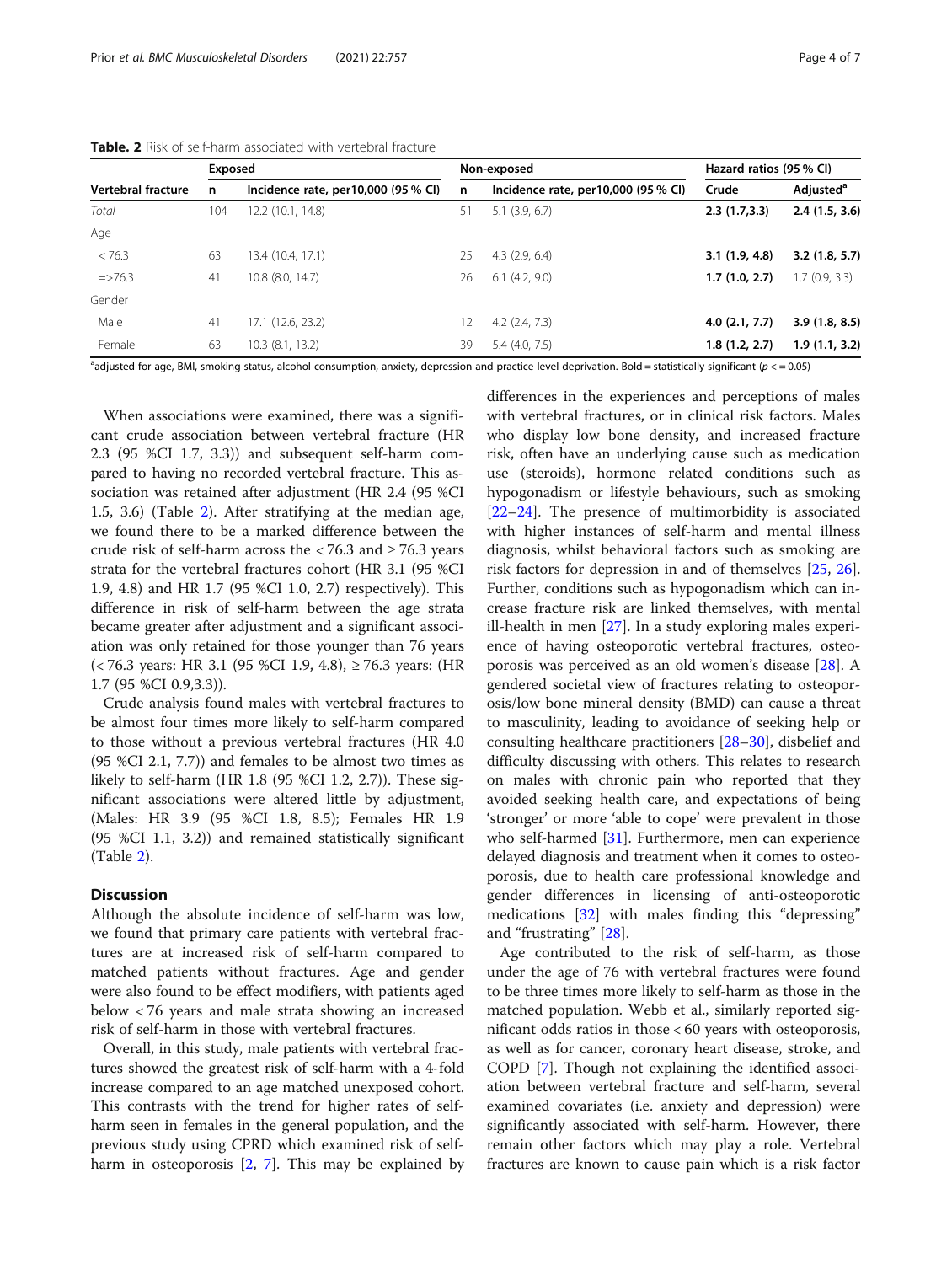|                    | Exposed |                                     | Non-exposed |                                     | Hazard ratios (95 % CI) |                       |
|--------------------|---------|-------------------------------------|-------------|-------------------------------------|-------------------------|-----------------------|
| Vertebral fracture | n       | Incidence rate, per10,000 (95 % CI) | n           | Incidence rate, per10,000 (95 % CI) | Crude                   | Adjusted <sup>a</sup> |
| Total              | 104     | 12.2 (10.1, 14.8)                   | 51          | $5.1$ $(3.9, 6.7)$                  | 2.3(1.7,3.3)            | 2.4(1.5, 3.6)         |
| Age                |         |                                     |             |                                     |                         |                       |
| < 76.3             | 63      | 13.4 (10.4, 17.1)                   | 25          | 4.3(2.9, 6.4)                       | 3.1(1.9, 4.8)           | 3.2(1.8, 5.7)         |
| $\approx$ 76.3     | 41      | 10.8 (8.0, 14.7)                    | 26          | $6.1$ $(4.2, 9.0)$                  | 1.7(1.0, 2.7)           | 1.7(0.9, 3.3)         |
| Gender             |         |                                     |             |                                     |                         |                       |
| Male               | 41      | 17.1 (12.6, 23.2)                   | 12          | $4.2$ $(2.4, 7.3)$                  | 4.0(2.1, 7.7)           | 3.9(1.8, 8.5)         |
| Female             | 63      | $10.3$ $(8.1, 13.2)$                | 39          | 5.4(4.0, 7.5)                       | 1.8(1.2, 2.7)           | 1.9(1.1, 3.2)         |

<span id="page-3-0"></span>Table. 2 Risk of self-harm associated with vertebral fracture

adjusted for age, BMI, smoking status, alcohol consumption, anxiety, depression and practice-level deprivation. Bold = statistically significant ( $p < 0.05$ )

When associations were examined, there was a significant crude association between vertebral fracture (HR 2.3 (95 %CI 1.7, 3.3)) and subsequent self-harm compared to having no recorded vertebral fracture. This association was retained after adjustment (HR 2.4 (95 %CI 1.5, 3.6) (Table 2). After stratifying at the median age, we found there to be a marked difference between the crude risk of self-harm across the  $< 76.3$  and  $\geq 76.3$  years strata for the vertebral fractures cohort (HR 3.1 (95 %CI 1.9, 4.8) and HR 1.7 (95 %CI 1.0, 2.7) respectively). This difference in risk of self-harm between the age strata became greater after adjustment and a significant association was only retained for those younger than 76 years (< 76.3 years: HR 3.1 (95 %CI 1.9, 4.8), ≥ 76.3 years: (HR 1.7 (95 %CI 0.9,3.3)).

Crude analysis found males with vertebral fractures to be almost four times more likely to self-harm compared to those without a previous vertebral fractures (HR 4.0 (95 %CI 2.1, 7.7)) and females to be almost two times as likely to self-harm (HR 1.8 (95 %CI 1.2, 2.7)). These significant associations were altered little by adjustment, (Males: HR 3.9 (95 %CI 1.8, 8.5); Females HR 1.9 (95 %CI 1.1, 3.2)) and remained statistically significant (Table 2).

#### **Discussion**

Although the absolute incidence of self-harm was low, we found that primary care patients with vertebral fractures are at increased risk of self-harm compared to matched patients without fractures. Age and gender were also found to be effect modifiers, with patients aged below < 76 years and male strata showing an increased risk of self-harm in those with vertebral fractures.

Overall, in this study, male patients with vertebral fractures showed the greatest risk of self-harm with a 4-fold increase compared to an age matched unexposed cohort. This contrasts with the trend for higher rates of selfharm seen in females in the general population, and the previous study using CPRD which examined risk of selfharm in osteoporosis [[2](#page-5-0), [7\]](#page-5-0). This may be explained by differences in the experiences and perceptions of males with vertebral fractures, or in clinical risk factors. Males who display low bone density, and increased fracture risk, often have an underlying cause such as medication use (steroids), hormone related conditions such as hypogonadism or lifestyle behaviours, such as smoking [[22](#page-5-0)–[24](#page-5-0)]. The presence of multimorbidity is associated with higher instances of self-harm and mental illness diagnosis, whilst behavioral factors such as smoking are risk factors for depression in and of themselves [\[25,](#page-5-0) [26](#page-5-0)]. Further, conditions such as hypogonadism which can increase fracture risk are linked themselves, with mental ill-health in men [[27](#page-5-0)]. In a study exploring males experience of having osteoporotic vertebral fractures, osteoporosis was perceived as an old women's disease [\[28\]](#page-5-0). A gendered societal view of fractures relating to osteoporosis/low bone mineral density (BMD) can cause a threat to masculinity, leading to avoidance of seeking help or consulting healthcare practitioners [\[28](#page-5-0)–[30\]](#page-5-0), disbelief and difficulty discussing with others. This relates to research on males with chronic pain who reported that they avoided seeking health care, and expectations of being 'stronger' or more 'able to cope' were prevalent in those who self-harmed [\[31\]](#page-5-0). Furthermore, men can experience delayed diagnosis and treatment when it comes to osteoporosis, due to health care professional knowledge and gender differences in licensing of anti-osteoporotic medications [[32](#page-5-0)] with males finding this "depressing" and "frustrating" [[28\]](#page-5-0).

Age contributed to the risk of self-harm, as those under the age of 76 with vertebral fractures were found to be three times more likely to self-harm as those in the matched population. Webb et al., similarly reported significant odds ratios in those < 60 years with osteoporosis, as well as for cancer, coronary heart disease, stroke, and COPD [[7\]](#page-5-0). Though not explaining the identified association between vertebral fracture and self-harm, several examined covariates (i.e. anxiety and depression) were significantly associated with self-harm. However, there remain other factors which may play a role. Vertebral fractures are known to cause pain which is a risk factor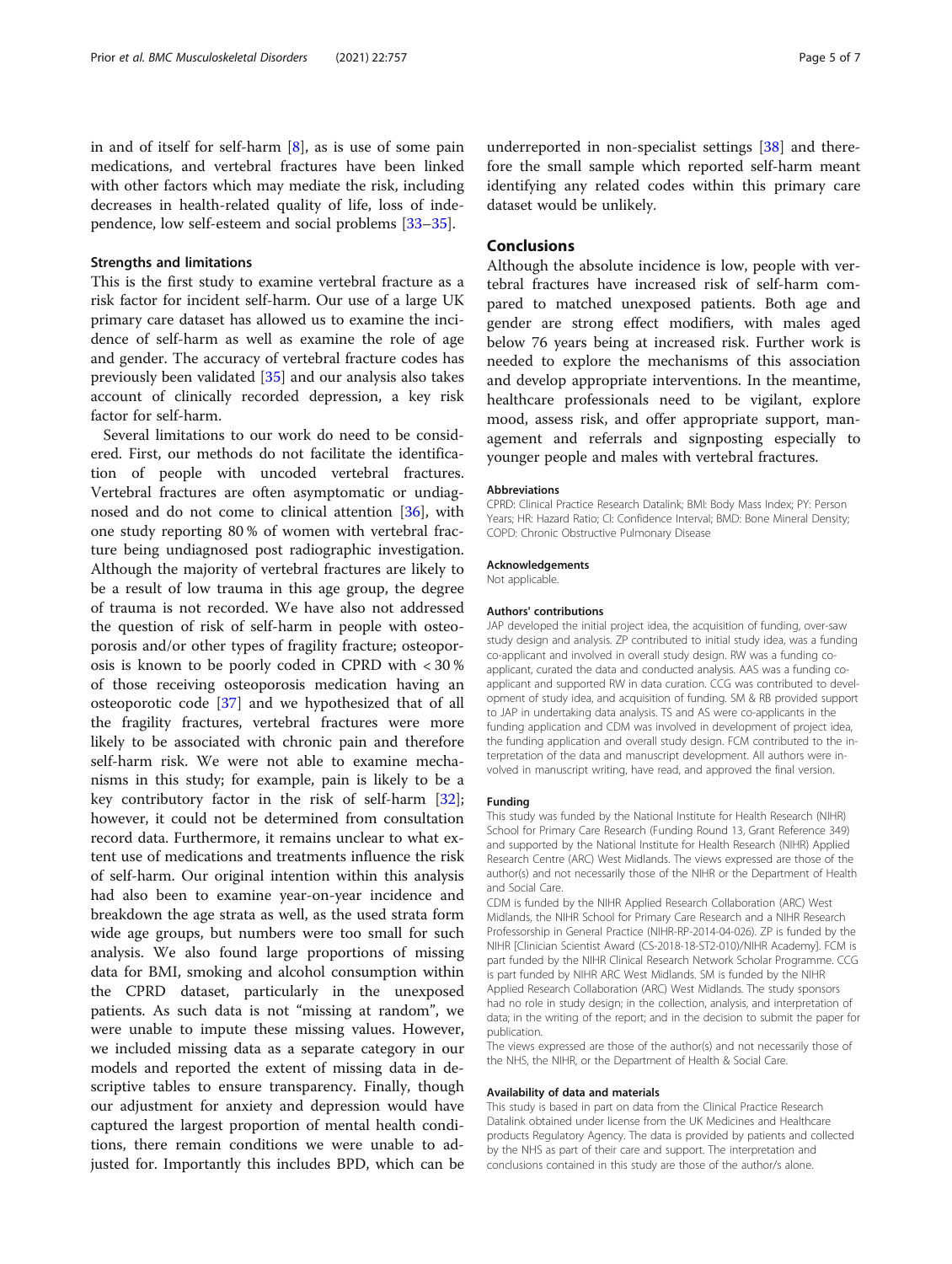in and of itself for self-harm [[8\]](#page-5-0), as is use of some pain medications, and vertebral fractures have been linked with other factors which may mediate the risk, including decreases in health-related quality of life, loss of independence, low self-esteem and social problems [\[33](#page-5-0)–[35\]](#page-5-0).

#### Strengths and limitations

This is the first study to examine vertebral fracture as a risk factor for incident self-harm. Our use of a large UK primary care dataset has allowed us to examine the incidence of self-harm as well as examine the role of age and gender. The accuracy of vertebral fracture codes has previously been validated [[35\]](#page-5-0) and our analysis also takes account of clinically recorded depression, a key risk factor for self-harm.

Several limitations to our work do need to be considered. First, our methods do not facilitate the identification of people with uncoded vertebral fractures. Vertebral fractures are often asymptomatic or undiagnosed and do not come to clinical attention [\[36](#page-5-0)], with one study reporting 80 % of women with vertebral fracture being undiagnosed post radiographic investigation. Although the majority of vertebral fractures are likely to be a result of low trauma in this age group, the degree of trauma is not recorded. We have also not addressed the question of risk of self-harm in people with osteoporosis and/or other types of fragility fracture; osteoporosis is known to be poorly coded in CPRD with < 30 % of those receiving osteoporosis medication having an osteoporotic code [[37](#page-6-0)] and we hypothesized that of all the fragility fractures, vertebral fractures were more likely to be associated with chronic pain and therefore self-harm risk. We were not able to examine mechanisms in this study; for example, pain is likely to be a key contributory factor in the risk of self-harm [\[32](#page-5-0)]; however, it could not be determined from consultation record data. Furthermore, it remains unclear to what extent use of medications and treatments influence the risk of self-harm. Our original intention within this analysis had also been to examine year-on-year incidence and breakdown the age strata as well, as the used strata form wide age groups, but numbers were too small for such analysis. We also found large proportions of missing data for BMI, smoking and alcohol consumption within the CPRD dataset, particularly in the unexposed patients. As such data is not "missing at random", we were unable to impute these missing values. However, we included missing data as a separate category in our models and reported the extent of missing data in descriptive tables to ensure transparency. Finally, though our adjustment for anxiety and depression would have captured the largest proportion of mental health conditions, there remain conditions we were unable to adjusted for. Importantly this includes BPD, which can be

underreported in non-specialist settings [\[38\]](#page-6-0) and therefore the small sample which reported self-harm meant identifying any related codes within this primary care dataset would be unlikely.

#### **Conclusions**

Although the absolute incidence is low, people with vertebral fractures have increased risk of self-harm compared to matched unexposed patients. Both age and gender are strong effect modifiers, with males aged below 76 years being at increased risk. Further work is needed to explore the mechanisms of this association and develop appropriate interventions. In the meantime, healthcare professionals need to be vigilant, explore mood, assess risk, and offer appropriate support, management and referrals and signposting especially to younger people and males with vertebral fractures.

#### Abbreviations

CPRD: Clinical Practice Research Datalink; BMI: Body Mass Index; PY: Person Years; HR: Hazard Ratio; CI: Confidence Interval; BMD: Bone Mineral Density; COPD: Chronic Obstructive Pulmonary Disease

#### Acknowledgements

Not applicable.

#### Authors' contributions

JAP developed the initial project idea, the acquisition of funding, over-saw study design and analysis. ZP contributed to initial study idea, was a funding co-applicant and involved in overall study design. RW was a funding coapplicant, curated the data and conducted analysis. AAS was a funding coapplicant and supported RW in data curation. CCG was contributed to development of study idea, and acquisition of funding. SM & RB provided support to JAP in undertaking data analysis. TS and AS were co-applicants in the funding application and CDM was involved in development of project idea, the funding application and overall study design. FCM contributed to the interpretation of the data and manuscript development. All authors were involved in manuscript writing, have read, and approved the final version.

#### Funding

This study was funded by the National Institute for Health Research (NIHR) School for Primary Care Research (Funding Round 13, Grant Reference 349) and supported by the National Institute for Health Research (NIHR) Applied Research Centre (ARC) West Midlands. The views expressed are those of the author(s) and not necessarily those of the NIHR or the Department of Health and Social Care.

CDM is funded by the NIHR Applied Research Collaboration (ARC) West Midlands, the NIHR School for Primary Care Research and a NIHR Research Professorship in General Practice (NIHR-RP-2014-04-026). ZP is funded by the NIHR [Clinician Scientist Award (CS-2018-18-ST2-010)/NIHR Academy]. FCM is part funded by the NIHR Clinical Research Network Scholar Programme. CCG is part funded by NIHR ARC West Midlands. SM is funded by the NIHR Applied Research Collaboration (ARC) West Midlands. The study sponsors had no role in study design; in the collection, analysis, and interpretation of data; in the writing of the report; and in the decision to submit the paper for publication.

The views expressed are those of the author(s) and not necessarily those of the NHS, the NIHR, or the Department of Health & Social Care.

#### Availability of data and materials

This study is based in part on data from the Clinical Practice Research Datalink obtained under license from the UK Medicines and Healthcare products Regulatory Agency. The data is provided by patients and collected by the NHS as part of their care and support. The interpretation and conclusions contained in this study are those of the author/s alone.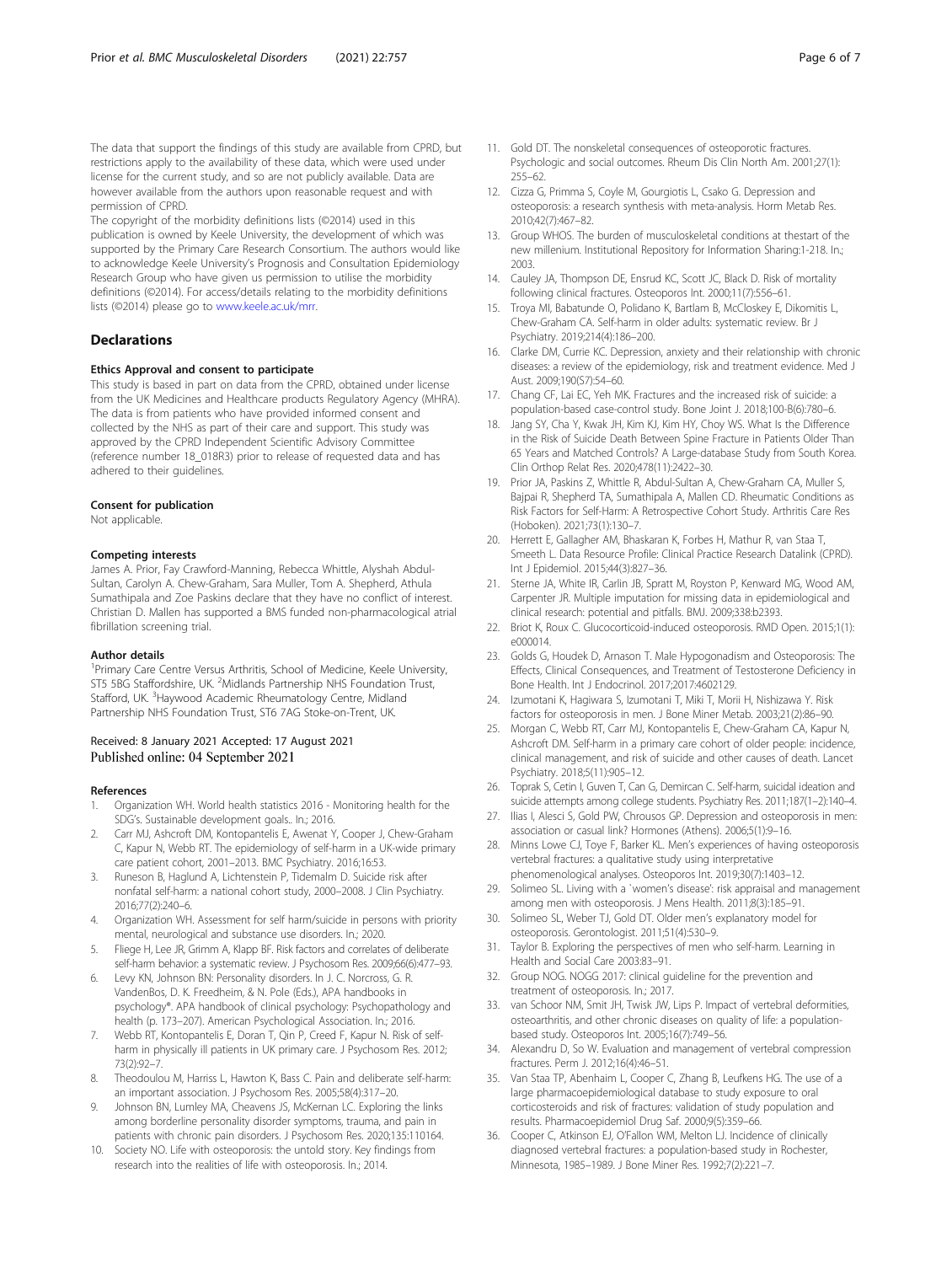<span id="page-5-0"></span>The data that support the findings of this study are available from CPRD, but restrictions apply to the availability of these data, which were used under license for the current study, and so are not publicly available. Data are however available from the authors upon reasonable request and with permission of CPRD.

The copyright of the morbidity definitions lists (©2014) used in this publication is owned by Keele University, the development of which was supported by the Primary Care Research Consortium. The authors would like to acknowledge Keele University's Prognosis and Consultation Epidemiology Research Group who have given us permission to utilise the morbidity definitions (©2014). For access/details relating to the morbidity definitions lists (©2014) please go to [www.keele.ac.uk/mrr.](http://www.keele.ac.uk/mrr)

#### **Declarations**

#### Ethics Approval and consent to participate

This study is based in part on data from the CPRD, obtained under license from the UK Medicines and Healthcare products Regulatory Agency (MHRA). The data is from patients who have provided informed consent and collected by the NHS as part of their care and support. This study was approved by the CPRD Independent Scientific Advisory Committee (reference number 18\_018R3) prior to release of requested data and has adhered to their guidelines.

#### Consent for publication

Not applicable.

#### Competing interests

James A. Prior, Fay Crawford-Manning, Rebecca Whittle, Alyshah Abdul-Sultan, Carolyn A. Chew-Graham, Sara Muller, Tom A. Shepherd, Athula Sumathipala and Zoe Paskins declare that they have no conflict of interest. Christian D. Mallen has supported a BMS funded non-pharmacological atrial fibrillation screening trial.

#### Author details

<sup>1</sup> Primary Care Centre Versus Arthritis, School of Medicine, Keele University, ST5 5BG Staffordshire, UK. <sup>2</sup>Midlands Partnership NHS Foundation Trust, Stafford, UK. <sup>3</sup>Haywood Academic Rheumatology Centre, Midland Partnership NHS Foundation Trust, ST6 7AG Stoke-on-Trent, UK.

#### Received: 8 January 2021 Accepted: 17 August 2021 Published online: 04 September 2021

#### References

- 1. Organization WH. World health statistics 2016 Monitoring health for the SDG's. Sustainable development goals.. In.; 2016.
- Carr MJ, Ashcroft DM, Kontopantelis E, Awenat Y, Cooper J, Chew-Graham C, Kapur N, Webb RT. The epidemiology of self-harm in a UK-wide primary care patient cohort, 2001–2013. BMC Psychiatry. 2016;16:53.
- 3. Runeson B, Haglund A, Lichtenstein P, Tidemalm D. Suicide risk after nonfatal self-harm: a national cohort study, 2000–2008. J Clin Psychiatry. 2016;77(2):240–6.
- 4. Organization WH. Assessment for self harm/suicide in persons with priority mental, neurological and substance use disorders. In.; 2020.
- 5. Fliege H, Lee JR, Grimm A, Klapp BF. Risk factors and correlates of deliberate self-harm behavior: a systematic review. J Psychosom Res. 2009;66(6):477–93.
- 6. Levy KN, Johnson BN: Personality disorders. In J. C. Norcross, G. R. VandenBos, D. K. Freedheim, & N. Pole (Eds.), APA handbooks in psychology®. APA handbook of clinical psychology: Psychopathology and health (p. 173–207). American Psychological Association. In.; 2016.
- Webb RT, Kontopantelis E, Doran T, Qin P, Creed F, Kapur N. Risk of selfharm in physically ill patients in UK primary care. J Psychosom Res. 2012; 73(2):92–7.
- 8. Theodoulou M, Harriss L, Hawton K, Bass C. Pain and deliberate self-harm: an important association. J Psychosom Res. 2005;58(4):317–20.
- Johnson BN, Lumley MA, Cheavens JS, McKernan LC. Exploring the links among borderline personality disorder symptoms, trauma, and pain in patients with chronic pain disorders. J Psychosom Res. 2020;135:110164.
- 10. Society NO. Life with osteoporosis: the untold story. Key findings from research into the realities of life with osteoporosis. In.; 2014.
- 11. Gold DT. The nonskeletal consequences of osteoporotic fractures. Psychologic and social outcomes. Rheum Dis Clin North Am. 2001;27(1): 255–62.
- 12. Cizza G, Primma S, Coyle M, Gourgiotis L, Csako G. Depression and osteoporosis: a research synthesis with meta-analysis. Horm Metab Res. 2010;42(7):467–82.
- 13. Group WHOS. The burden of musculoskeletal conditions at thestart of the new millenium. Institutional Repository for Information Sharing:1-218. In.; 2003.
- 14. Cauley JA, Thompson DE, Ensrud KC, Scott JC, Black D. Risk of mortality following clinical fractures. Osteoporos Int. 2000;11(7):556–61.
- 15. Troya MI, Babatunde O, Polidano K, Bartlam B, McCloskey E, Dikomitis L, Chew-Graham CA. Self-harm in older adults: systematic review. Br J Psychiatry. 2019;214(4):186–200.
- 16. Clarke DM, Currie KC. Depression, anxiety and their relationship with chronic diseases: a review of the epidemiology, risk and treatment evidence. Med J Aust. 2009;190(S7):54–60.
- 17. Chang CF, Lai EC, Yeh MK. Fractures and the increased risk of suicide: a population-based case-control study. Bone Joint J. 2018;100-B(6):780–6.
- 18. Jang SY, Cha Y, Kwak JH, Kim KJ, Kim HY, Choy WS. What Is the Difference in the Risk of Suicide Death Between Spine Fracture in Patients Older Than 65 Years and Matched Controls? A Large-database Study from South Korea. Clin Orthop Relat Res. 2020;478(11):2422–30.
- 19. Prior JA, Paskins Z, Whittle R, Abdul-Sultan A, Chew-Graham CA, Muller S, Bajpai R, Shepherd TA, Sumathipala A, Mallen CD. Rheumatic Conditions as Risk Factors for Self-Harm: A Retrospective Cohort Study. Arthritis Care Res (Hoboken). 2021;73(1):130–7.
- 20. Herrett E, Gallagher AM, Bhaskaran K, Forbes H, Mathur R, van Staa T, Smeeth L. Data Resource Profile: Clinical Practice Research Datalink (CPRD). Int J Epidemiol. 2015;44(3):827–36.
- 21. Sterne JA, White IR, Carlin JB, Spratt M, Royston P, Kenward MG, Wood AM, Carpenter JR. Multiple imputation for missing data in epidemiological and clinical research: potential and pitfalls. BMJ. 2009;338:b2393.
- 22. Briot K, Roux C. Glucocorticoid-induced osteoporosis. RMD Open. 2015;1(1): e000014.
- 23. Golds G, Houdek D, Arnason T. Male Hypogonadism and Osteoporosis: The Effects, Clinical Consequences, and Treatment of Testosterone Deficiency in Bone Health. Int J Endocrinol. 2017;2017:4602129.
- 24. Izumotani K, Hagiwara S, Izumotani T, Miki T, Morii H, Nishizawa Y. Risk factors for osteoporosis in men. J Bone Miner Metab. 2003;21(2):86–90.
- 25. Morgan C, Webb RT, Carr MJ, Kontopantelis E, Chew-Graham CA, Kapur N, Ashcroft DM. Self-harm in a primary care cohort of older people: incidence, clinical management, and risk of suicide and other causes of death. Lancet Psychiatry. 2018;5(11):905–12.
- 26. Toprak S, Cetin I, Guven T, Can G, Demircan C. Self-harm, suicidal ideation and suicide attempts among college students. Psychiatry Res. 2011;187(1–2):140–4.
- 27. Ilias I, Alesci S, Gold PW, Chrousos GP. Depression and osteoporosis in men: association or casual link? Hormones (Athens). 2006;5(1):9–16.
- 28. Minns Lowe CJ, Toye F, Barker KL. Men's experiences of having osteoporosis vertebral fractures: a qualitative study using interpretative phenomenological analyses. Osteoporos Int. 2019;30(7):1403–12.
- 29. Solimeo SL. Living with a `women's disease': risk appraisal and management among men with osteoporosis. J Mens Health. 2011;8(3):185–91.
- 30. Solimeo SL, Weber TJ, Gold DT. Older men's explanatory model for osteoporosis. Gerontologist. 2011;51(4):530–9.
- 31. Taylor B. Exploring the perspectives of men who self-harm. Learning in Health and Social Care 2003:83–91.
- 32. Group NOG. NOGG 2017: clinical guideline for the prevention and treatment of osteoporosis. In.; 2017.
- 33. van Schoor NM, Smit JH, Twisk JW, Lips P. Impact of vertebral deformities, osteoarthritis, and other chronic diseases on quality of life: a populationbased study. Osteoporos Int. 2005;16(7):749–56.
- 34. Alexandru D, So W. Evaluation and management of vertebral compression fractures. Perm J. 2012;16(4):46–51.
- 35. Van Staa TP, Abenhaim L, Cooper C, Zhang B, Leufkens HG. The use of a large pharmacoepidemiological database to study exposure to oral corticosteroids and risk of fractures: validation of study population and results. Pharmacoepidemiol Drug Saf. 2000;9(5):359–66.
- 36. Cooper C, Atkinson EJ, O'Fallon WM, Melton LJ. Incidence of clinically diagnosed vertebral fractures: a population-based study in Rochester, Minnesota, 1985–1989. J Bone Miner Res. 1992;7(2):221–7.